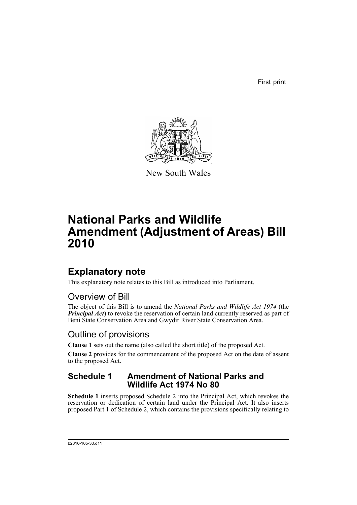First print



New South Wales

# **National Parks and Wildlife Amendment (Adjustment of Areas) Bill 2010**

## **Explanatory note**

This explanatory note relates to this Bill as introduced into Parliament.

### Overview of Bill

The object of this Bill is to amend the *National Parks and Wildlife Act 1974* (the *Principal Act*) to revoke the reservation of certain land currently reserved as part of Beni State Conservation Area and Gwydir River State Conservation Area.

### Outline of provisions

**Clause 1** sets out the name (also called the short title) of the proposed Act.

**Clause 2** provides for the commencement of the proposed Act on the date of assent to the proposed Act.

### **Schedule 1 Amendment of National Parks and Wildlife Act 1974 No 80**

**Schedule 1** inserts proposed Schedule 2 into the Principal Act, which revokes the reservation or dedication of certain land under the Principal Act. It also inserts proposed Part 1 of Schedule 2, which contains the provisions specifically relating to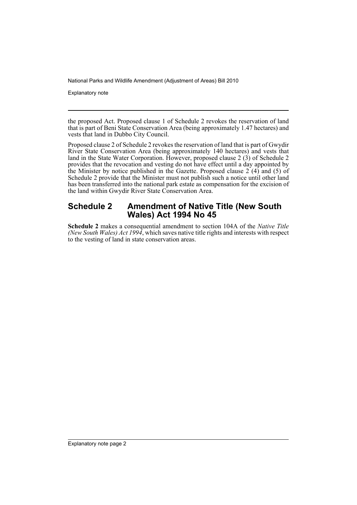Explanatory note

the proposed Act. Proposed clause 1 of Schedule 2 revokes the reservation of land that is part of Beni State Conservation Area (being approximately 1.47 hectares) and vests that land in Dubbo City Council.

Proposed clause 2 of Schedule 2 revokes the reservation of land that is part of Gwydir River State Conservation Area (being approximately 140 hectares) and vests that land in the State Water Corporation. However, proposed clause 2 (3) of Schedule 2 provides that the revocation and vesting do not have effect until a day appointed by the Minister by notice published in the Gazette. Proposed clause  $2(4)$  and (5) of Schedule 2 provide that the Minister must not publish such a notice until other land has been transferred into the national park estate as compensation for the excision of the land within Gwydir River State Conservation Area.

#### **Schedule 2 Amendment of Native Title (New South Wales) Act 1994 No 45**

**Schedule 2** makes a consequential amendment to section 104A of the *Native Title (New South Wales) Act 1994*, which saves native title rights and interests with respect to the vesting of land in state conservation areas.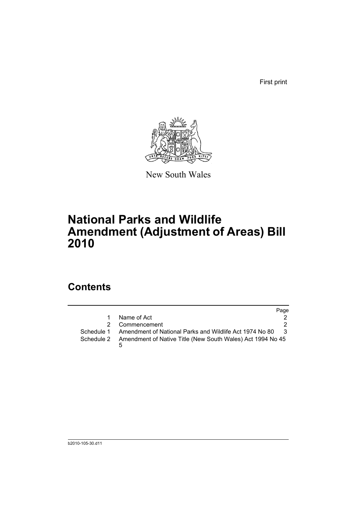First print



New South Wales

# **National Parks and Wildlife Amendment (Adjustment of Areas) Bill 2010**

### **Contents**

|               |                                                            | Page |
|---------------|------------------------------------------------------------|------|
|               | Name of Act                                                |      |
| $\mathcal{P}$ | Commencement                                               | 2.   |
| Schedule 1    | Amendment of National Parks and Wildlife Act 1974 No 80    | - 3  |
| Schedule 2    | Amendment of Native Title (New South Wales) Act 1994 No 45 |      |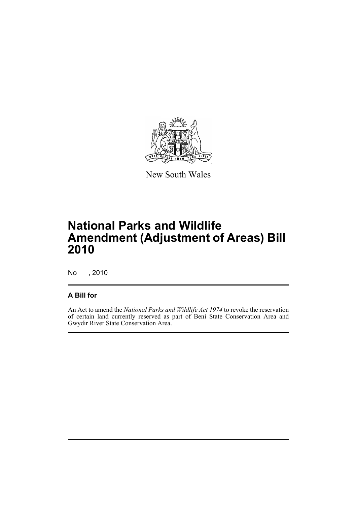

New South Wales

# **National Parks and Wildlife Amendment (Adjustment of Areas) Bill 2010**

No , 2010

#### **A Bill for**

An Act to amend the *National Parks and Wildlife Act 1974* to revoke the reservation of certain land currently reserved as part of Beni State Conservation Area and Gwydir River State Conservation Area.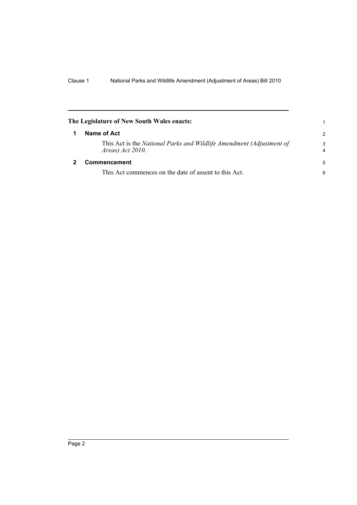<span id="page-5-1"></span><span id="page-5-0"></span>

| The Legislature of New South Wales enacts:                                                  | 1                   |
|---------------------------------------------------------------------------------------------|---------------------|
| Name of Act                                                                                 |                     |
| This Act is the National Parks and Wildlife Amendment (Adjustment of<br>Areas) $Act 2010$ . | 3<br>$\overline{4}$ |
| Commencement                                                                                |                     |
| This Act commences on the date of assent to this Act.                                       | 6                   |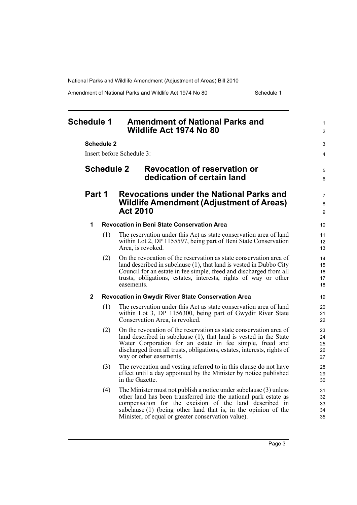Amendment of National Parks and Wildlife Act 1974 No 80 Schedule 1

<span id="page-6-0"></span>

| <b>Schedule 1</b> |                   |                   | <b>Amendment of National Parks and</b><br>Wildlife Act 1974 No 80                                                                                                                                                                                                                                                       |                            |
|-------------------|-------------------|-------------------|-------------------------------------------------------------------------------------------------------------------------------------------------------------------------------------------------------------------------------------------------------------------------------------------------------------------------|----------------------------|
|                   |                   | <b>Schedule 2</b> | Insert before Schedule 3:                                                                                                                                                                                                                                                                                               | 3<br>4                     |
|                   | <b>Schedule 2</b> |                   | <b>Revocation of reservation or</b><br>dedication of certain land                                                                                                                                                                                                                                                       | 5<br>6                     |
|                   | Part 1            |                   | <b>Revocations under the National Parks and</b><br><b>Wildlife Amendment (Adjustment of Areas)</b><br><b>Act 2010</b>                                                                                                                                                                                                   | 7<br>8<br>9                |
|                   | 1                 |                   | <b>Revocation in Beni State Conservation Area</b>                                                                                                                                                                                                                                                                       | 10                         |
|                   |                   | (1)               | The reservation under this Act as state conservation area of land<br>within Lot 2, DP 1155597, being part of Beni State Conservation<br>Area, is revoked.                                                                                                                                                               | 11<br>12<br>13             |
|                   |                   | (2)               | On the revocation of the reservation as state conservation area of<br>land described in subclause (1), that land is vested in Dubbo City<br>Council for an estate in fee simple, freed and discharged from all<br>trusts, obligations, estates, interests, rights of way or other<br>easements.                         | 14<br>15<br>16<br>17<br>18 |
|                   | $\mathbf{2}$      |                   | Revocation in Gwydir River State Conservation Area                                                                                                                                                                                                                                                                      | 19                         |
|                   |                   | (1)               | The reservation under this Act as state conservation area of land<br>within Lot 3, DP 1156300, being part of Gwydir River State<br>Conservation Area, is revoked.                                                                                                                                                       | 20<br>21<br>22             |
|                   |                   | (2)               | On the revocation of the reservation as state conservation area of<br>land described in subclause (1), that land is vested in the State<br>Water Corporation for an estate in fee simple, freed and<br>discharged from all trusts, obligations, estates, interests, rights of<br>way or other easements.                | 23<br>24<br>25<br>26<br>27 |
|                   |                   | (3)               | The revocation and vesting referred to in this clause do not have<br>effect until a day appointed by the Minister by notice published<br>in the Gazette.                                                                                                                                                                | 28<br>29<br>30             |
|                   |                   | (4)               | The Minister must not publish a notice under subclause (3) unless<br>other land has been transferred into the national park estate as<br>compensation for the excision of the land described in<br>subclause (1) (being other land that is, in the opinion of the<br>Minister, of equal or greater conservation value). | 31<br>32<br>33<br>34<br>35 |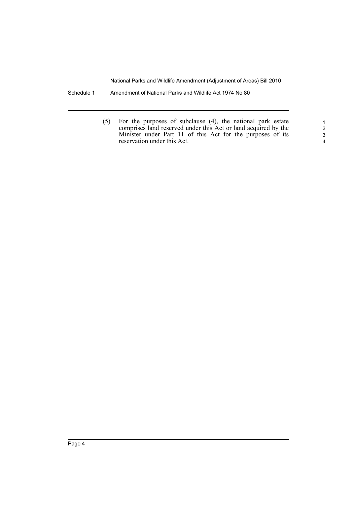- Schedule 1 Amendment of National Parks and Wildlife Act 1974 No 80
	- (5) For the purposes of subclause (4), the national park estate comprises land reserved under this Act or land acquired by the Minister under Part 11 of this Act for the purposes of its reservation under this Act.